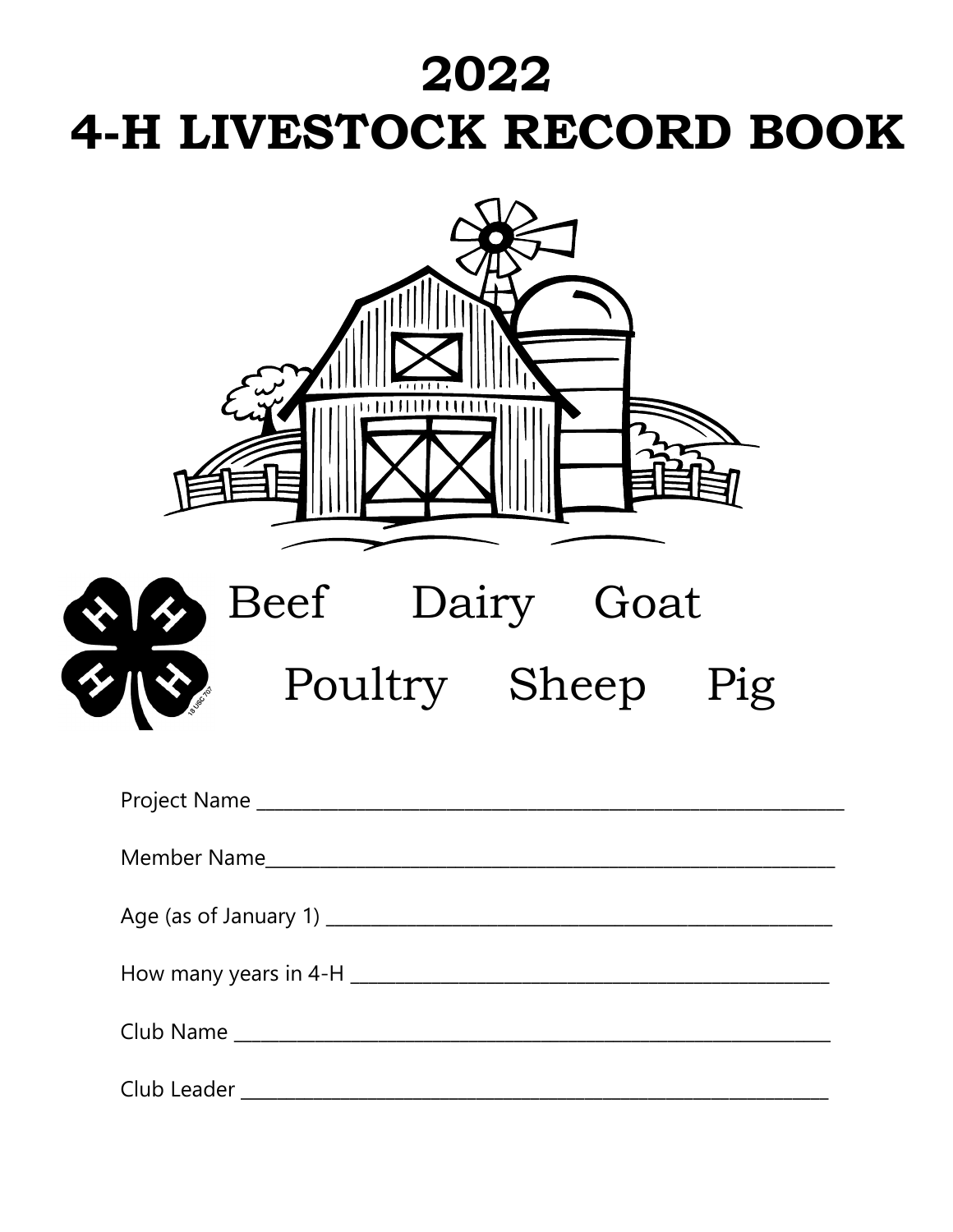# 2022 4-H LIVESTOCK RECORD BOOK

| Beef Dairy Goat                                                                                                |
|----------------------------------------------------------------------------------------------------------------|
|                                                                                                                |
|                                                                                                                |
| Member Name and the state of the state of the state of the state of the state of the state of the state of the |
|                                                                                                                |
|                                                                                                                |
|                                                                                                                |
|                                                                                                                |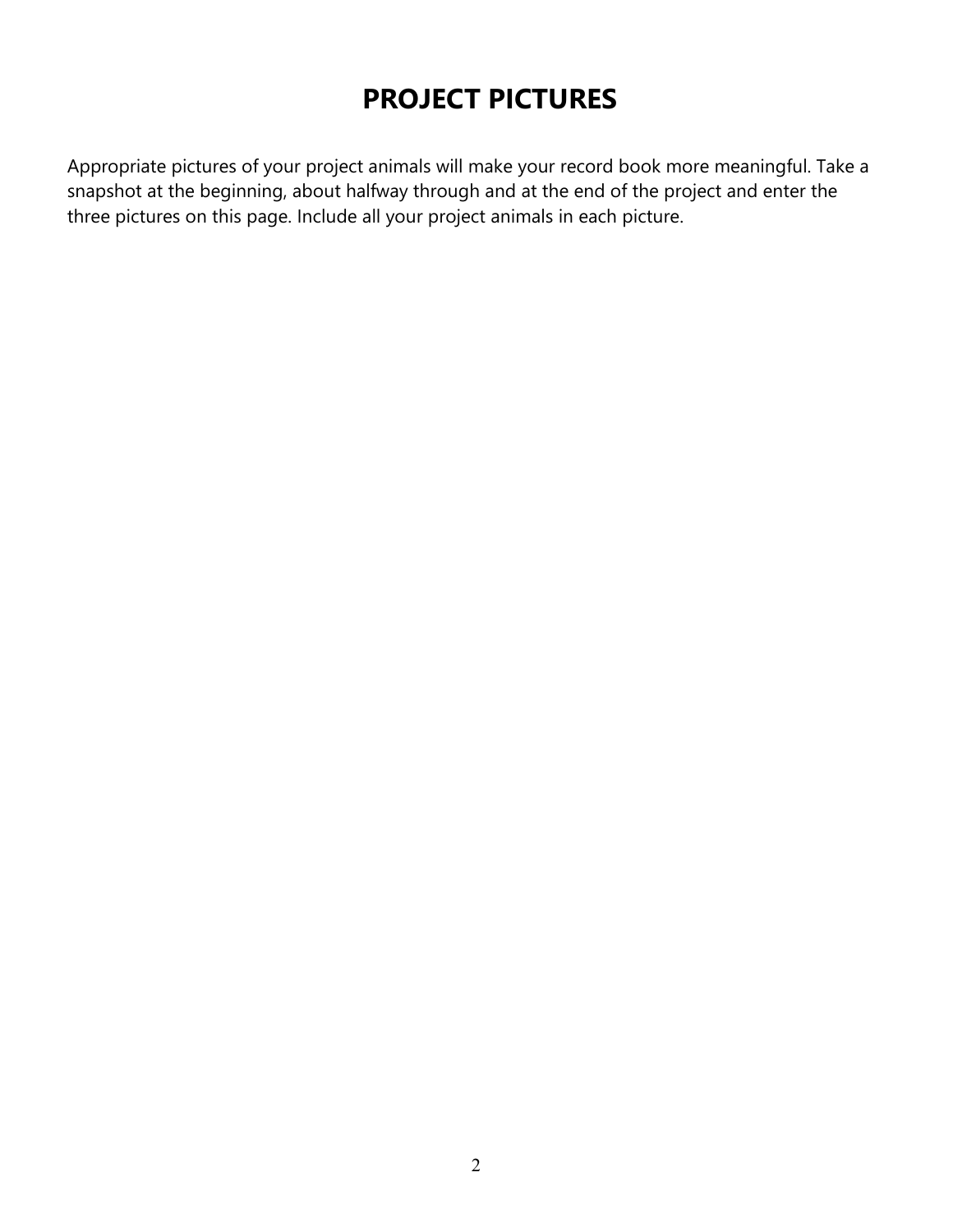# **PROJECT PICTURES**

Appropriate pictures of your project animals will make your record book more meaningful. Take a snapshot at the beginning, about halfway through and at the end of the project and enter the three pictures on this page. Include all your project animals in each picture.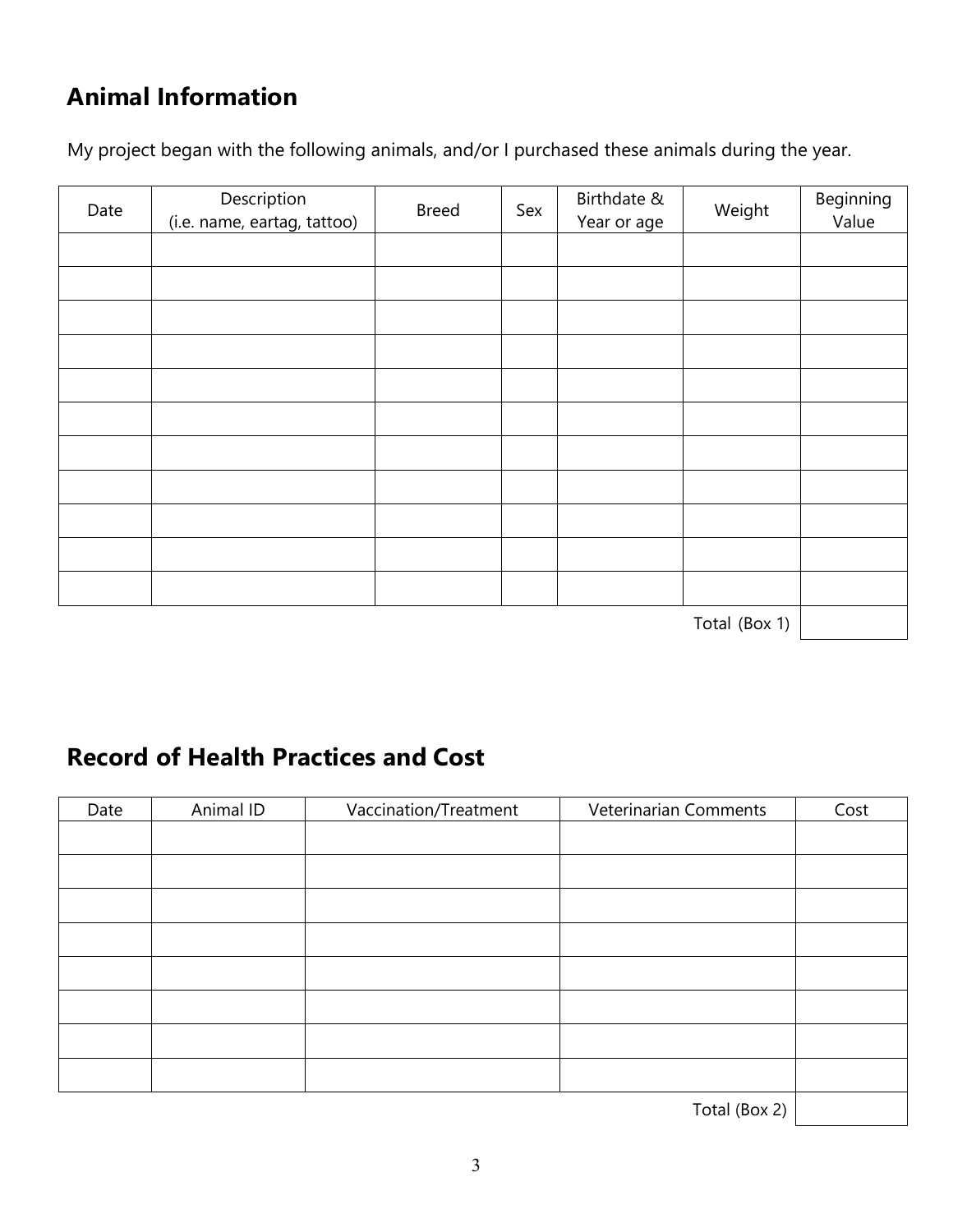# **Animal Information**

My project began with the following animals, and/or I purchased these animals during the year.

| Date | Description<br>(i.e. name, eartag, tattoo) | <b>Breed</b> | Sex | Birthdate &<br>Year or age | Weight        | Beginning<br>Value |
|------|--------------------------------------------|--------------|-----|----------------------------|---------------|--------------------|
|      |                                            |              |     |                            |               |                    |
|      |                                            |              |     |                            |               |                    |
|      |                                            |              |     |                            |               |                    |
|      |                                            |              |     |                            |               |                    |
|      |                                            |              |     |                            |               |                    |
|      |                                            |              |     |                            |               |                    |
|      |                                            |              |     |                            |               |                    |
|      |                                            |              |     |                            |               |                    |
|      |                                            |              |     |                            |               |                    |
|      |                                            |              |     |                            |               |                    |
|      |                                            |              |     |                            |               |                    |
|      |                                            |              |     |                            | Total (Box 1) |                    |

Total (Box 1)

#### **Record of Health Practices and Cost**

| Date | Animal ID | Vaccination/Treatment | Veterinarian Comments   | Cost |
|------|-----------|-----------------------|-------------------------|------|
|      |           |                       |                         |      |
|      |           |                       |                         |      |
|      |           |                       |                         |      |
|      |           |                       |                         |      |
|      |           |                       |                         |      |
|      |           |                       |                         |      |
|      |           |                       |                         |      |
|      |           |                       |                         |      |
|      |           |                       | $\cdot$ $\cdot$ $\cdot$ |      |

 $Total (Box 2)$  |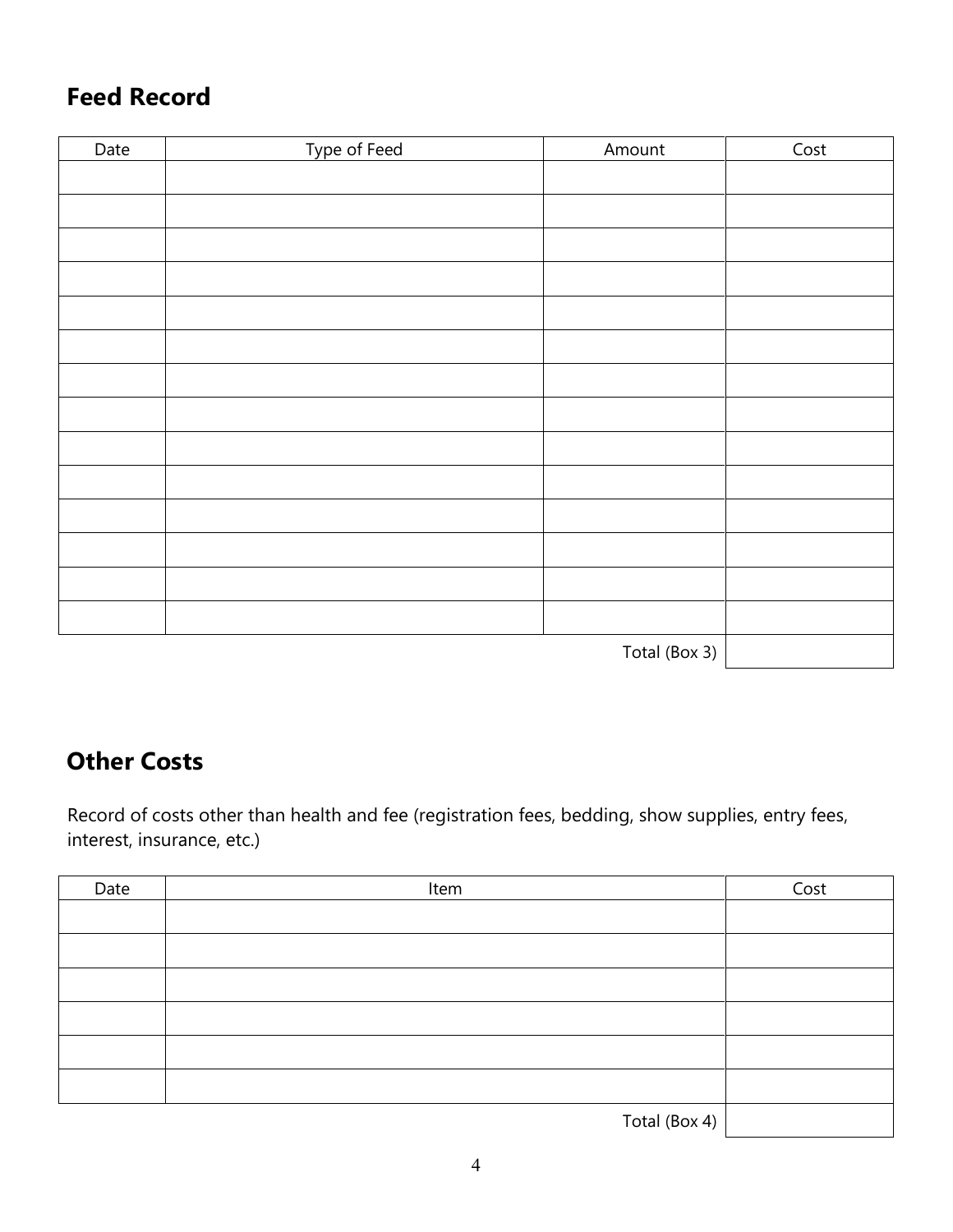#### **Feed Record**

| Date | Type of Feed | Amount        | Cost |
|------|--------------|---------------|------|
|      |              |               |      |
|      |              |               |      |
|      |              |               |      |
|      |              |               |      |
|      |              |               |      |
|      |              |               |      |
|      |              |               |      |
|      |              |               |      |
|      |              |               |      |
|      |              |               |      |
|      |              |               |      |
|      |              |               |      |
|      |              |               |      |
|      |              |               |      |
|      |              | Total (Box 3) |      |

#### **Other Costs**

Record of costs other than health and fee (registration fees, bedding, show supplies, entry fees, interest, insurance, etc.)

| Date | Item          | Cost |
|------|---------------|------|
|      |               |      |
|      |               |      |
|      |               |      |
|      |               |      |
|      |               |      |
|      |               |      |
|      | Total (Box 4) |      |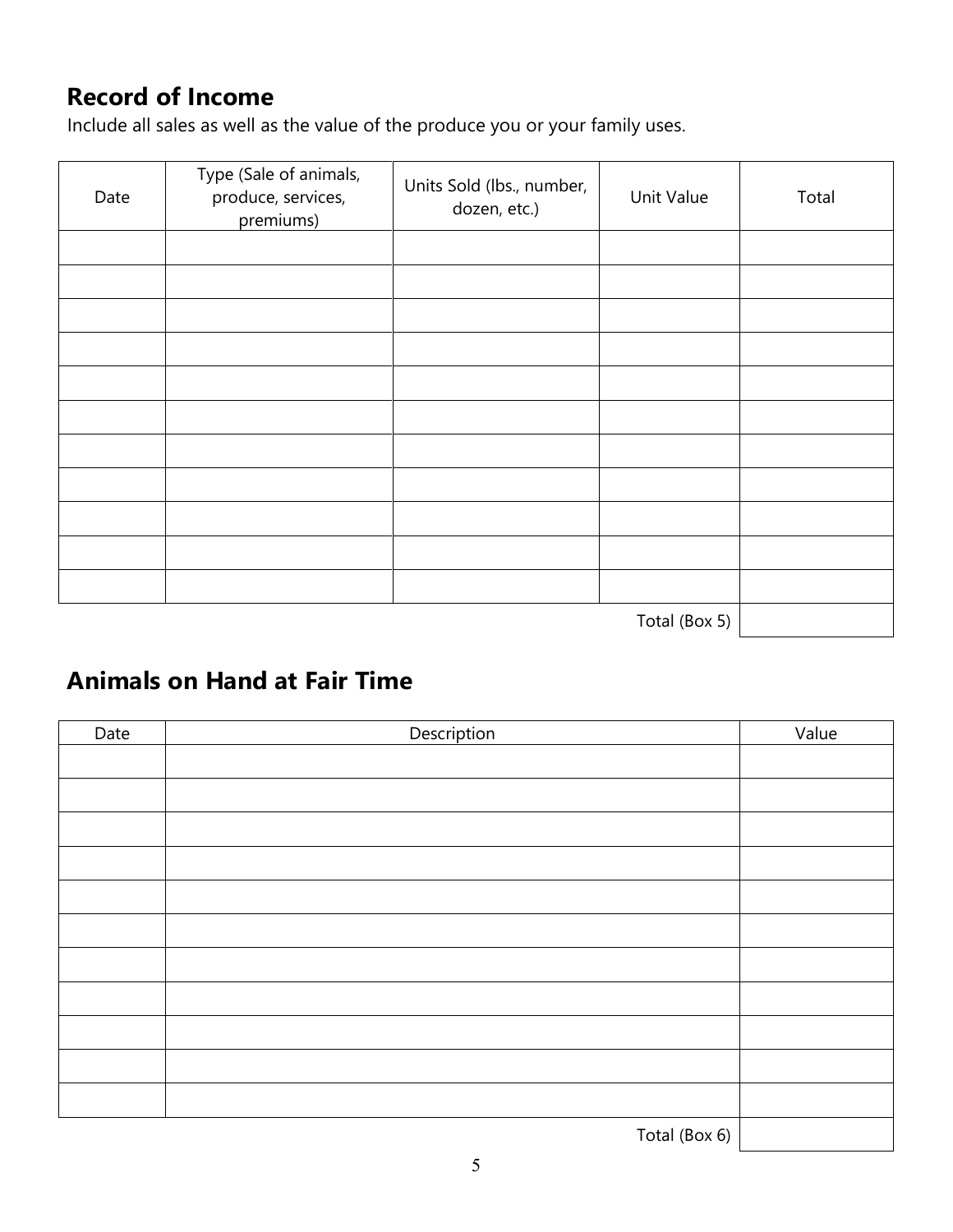### **Record of Income**

Include all sales as well as the value of the produce you or your family uses.

| Date | Type (Sale of animals,<br>produce, services,<br>premiums) | Units Sold (lbs., number,<br>dozen, etc.) | Unit Value    | Total |
|------|-----------------------------------------------------------|-------------------------------------------|---------------|-------|
|      |                                                           |                                           |               |       |
|      |                                                           |                                           |               |       |
|      |                                                           |                                           |               |       |
|      |                                                           |                                           |               |       |
|      |                                                           |                                           |               |       |
|      |                                                           |                                           |               |       |
|      |                                                           |                                           |               |       |
|      |                                                           |                                           |               |       |
|      |                                                           |                                           |               |       |
|      |                                                           |                                           |               |       |
|      |                                                           |                                           |               |       |
|      |                                                           |                                           | Total (Box 5) |       |

#### **Animals on Hand at Fair Time**

| Date | Description   | Value |
|------|---------------|-------|
|      |               |       |
|      |               |       |
|      |               |       |
|      |               |       |
|      |               |       |
|      |               |       |
|      |               |       |
|      |               |       |
|      |               |       |
|      |               |       |
|      |               |       |
|      | Total (Box 6) |       |